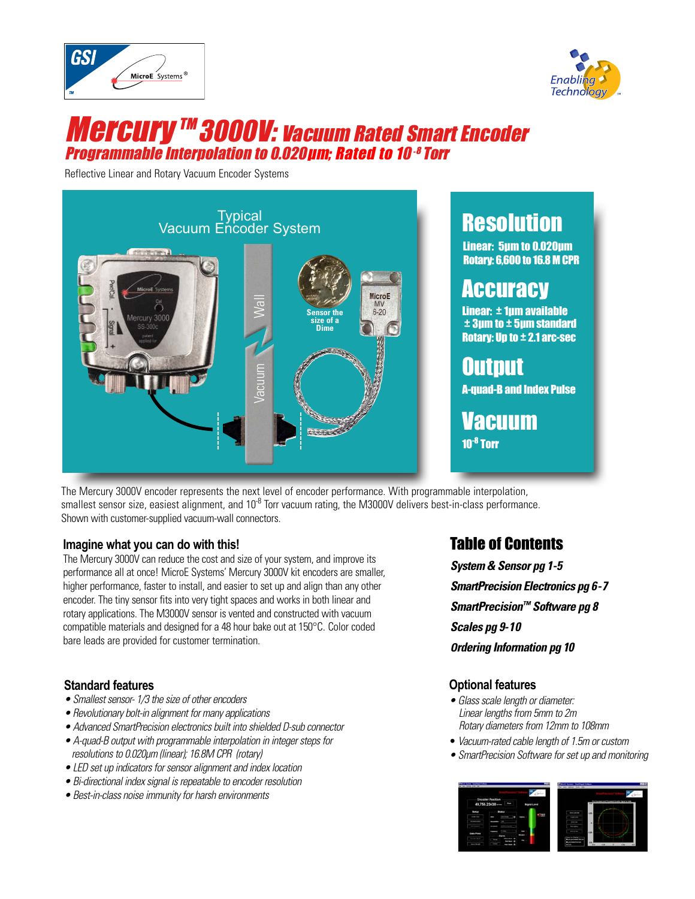



# **Mercury ™ 3000V: vacuum Rated Smart Encoder** Programmable Interpolation to 0.020μm; Rated to 10-<sup>8</sup> Torr

Reflective Linear and Rotary Vacuum Encoder Systems



# **Resolution**

Linear: 5μm to 0.020μm Rotary: 6,600 to 16.8 M CPR

# **Accuracy**

Linear: ± 1μm available  $\pm 3$ μm to  $\pm 5$ μm standard Rotary: Up to  $\pm$  2.1 arc-sec

Output A-quad-B and Index Pulse

Vacuum

The Mercury 3000V encoder represents the next level of encoder performance. With programmable interpolation, smallest sensor size, easiest alignment, and  $10^{-8}$  Torr vacuum rating, the M3000V delivers best-in-class performance. Shown with customer-supplied vacuum-wall connectors.

#### **Imagine what you can do with this!**

The Mercury 3000V can reduce the cost and size of your system, and improve its performance all at once! MicroE Systems' Mercury 3000V kit encoders are smaller, higher performance, faster to install, and easier to set up and align than any other encoder. The tiny sensor fits into very tight spaces and works in both linear and rotary applications. The M3000V sensor is vented and constructed with vacuum compatible materials and designed for a 48 hour bake out at 150°C. Color coded bare leads are provided for customer termination.

### **Standard features**

- Smallest sensor-1/3 the size of other encoders
- Revolutionary bolt-in alignment for many applications
- Advanced SmartPrecision electronics built into shielded D-sub connector
- A-quad-B output with programmable interpolation in integer steps for resolutions to 0.020µm (linear); 16.8M CPR (rotary)
- LED set up indicators for sensor alignment and index location
- Bi-directional index signal is repeatable to encoder resolution
- Best-in-class noise immunity for harsh environments

## Table of Contents

**System & Sensor pg 1-5 SmartPrecision Electronics pg 6-7 SmartPrecision™ Software pg 8 Scales pg 9-10 Ordering Information pg 10**

### **Optional features**

- Glass scale length or diameter: Linear lengths from 5mm to 2m Rotary diameters from 12mm to 108mm
- Vacuum-rated cable length of 1.5m or custom
- SmartPrecision Software for set up and monitoring

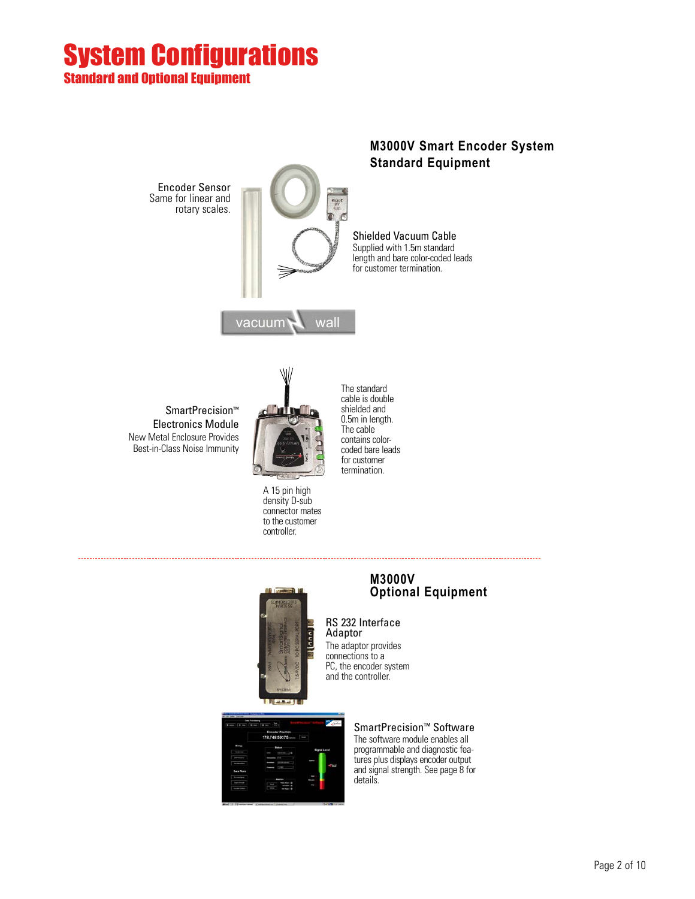## System Configurations Standard and Optional Equipment

Encoder Sensor Same for linear and rotary scales.



### **M3000V Smart Encoder System Standard Equipment**

Shielded Vacuum Cable Supplied with 1.5m standard length and bare color-coded leads for customer termination.

SmartPrecision™ Electronics Module New Metal Enclosure Provides Best-in-Class Noise Immunity



 $vacuum$  wall

A 15 pin high density D-sub connector mates to the customer controller.

The standard cable is double shielded and 0.5m in length. The cable contains colorcoded bare leads for customer termination.



#### **M3000V Optional Equipment**

RS 232 Interface Adaptor The adaptor provides

connections to a PC, the encoder system and the controller.

> SmartPrecision™ Software The software module enables all

> programmable and diagnostic features plus displays encoder output and signal strength. See page 8 for details.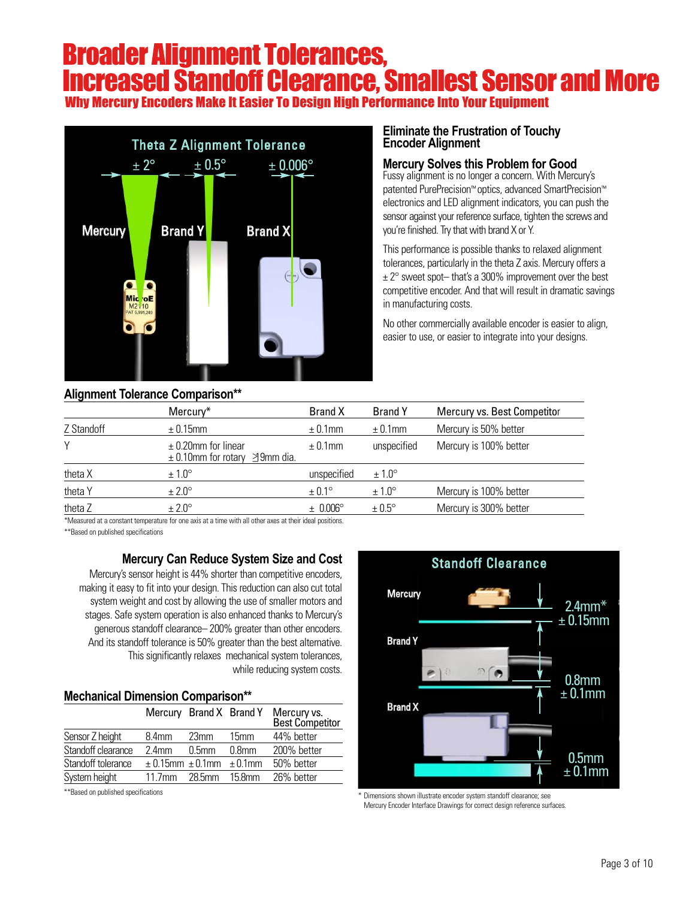## Broader Alignment Tolerances, Increased Standoff Clearance, Smallest Sensor and More Why Mercury Encoders Make It Easier To Design High Performance Into Your Equipment



### **Alignment Tolerance Comparison\*\***

#### **Eliminate the Frustration of Touchy Encoder Alignment**

#### **Mercury Solves this Problem for Good**

Fussy alignment is no longer a concern. With Mercury's patented PurePrecision™ optics, advanced SmartPrecision™ electronics and LED alignment indicators, you can push the sensor against your reference surface, tighten the screws and you're finished. Try that with brand X or Y.

This performance is possible thanks to relaxed alignment tolerances, particularly in the theta Z axis. Mercury offers a  $\pm 2^{\circ}$  sweet spot-that's a 300% improvement over the best competitive encoder. And that will result in dramatic savings in manufacturing costs.

No other commercially available encoder is easier to align, easier to use, or easier to integrate into your designs.

|            | 1.11                                                         |                     |                   |                             |
|------------|--------------------------------------------------------------|---------------------|-------------------|-----------------------------|
|            | Mercury*                                                     | <b>Brand X</b>      | <b>Brand Y</b>    | Mercury vs. Best Competitor |
| Z Standoff | $\pm$ 0.15mm                                                 | $\pm$ 0.1mm         | $\pm$ 0.1mm       | Mercury is 50% better       |
| Υ          | $\pm$ 0.20mm for linear<br>$\pm$ 0.10mm for rotary 39mm dia. | $\pm$ 0.1mm         | unspecified       | Mercury is 100% better      |
| theta X    | $\pm 1.0^\circ$                                              | unspecified         | $± 1.0^\circ$     |                             |
| theta Y    | $±2.0^\circ$                                                 | $\pm 0.1^{\circ}$   | $±1.0^\circ$      | Mercury is 100% better      |
| theta Z    | $\pm 2.0^\circ$                                              | $\pm 0.006^{\circ}$ | $\pm 0.5^{\circ}$ | Mercury is 300% better      |
|            |                                                              |                     |                   |                             |

\*Measured at a constant temperature for one axis at a time with all other axes at their ideal positions. \*\*Based on published specifications

### **Mercury Can Reduce System Size and Cost**

Mercury's sensor height is 44% shorter than competitive encoders, making it easy to fit into your design. This reduction can also cut total system weight and cost by allowing the use of smaller motors and stages. Safe system operation is also enhanced thanks to Mercury's generous standoff clearance– 200% greater than other encoders. And its standoff tolerance is 50% greater than the best alternative. This significantly relaxes mechanical system tolerances, while reducing system costs.

#### **Mechanical Dimension Comparison\*\***

|                    | Mercury Brand X Brand Y              |          |           | Mercury vs.<br>Best Competitor |
|--------------------|--------------------------------------|----------|-----------|--------------------------------|
| Sensor Z height    | 8.4 <sub>mm</sub>                    | 23mm     | 15mm      | 44% better                     |
| Standoff clearance | 24mm                                 | $0.5$ mm | $0.8$ mm  | 200% better                    |
| Standoff tolerance | $\pm$ 0.15mm $\pm$ 0.1mm $\pm$ 0.1mm |          |           | 50% better                     |
| System height      | 11.7mm                               | 28.5mm   | $15.8$ mm | 26% better                     |



\*\*Based on published specifications \* Dimensions shown illustrate encoder system standoff clearance; see Mercury Encoder Interface Drawings for correct design reference surfaces.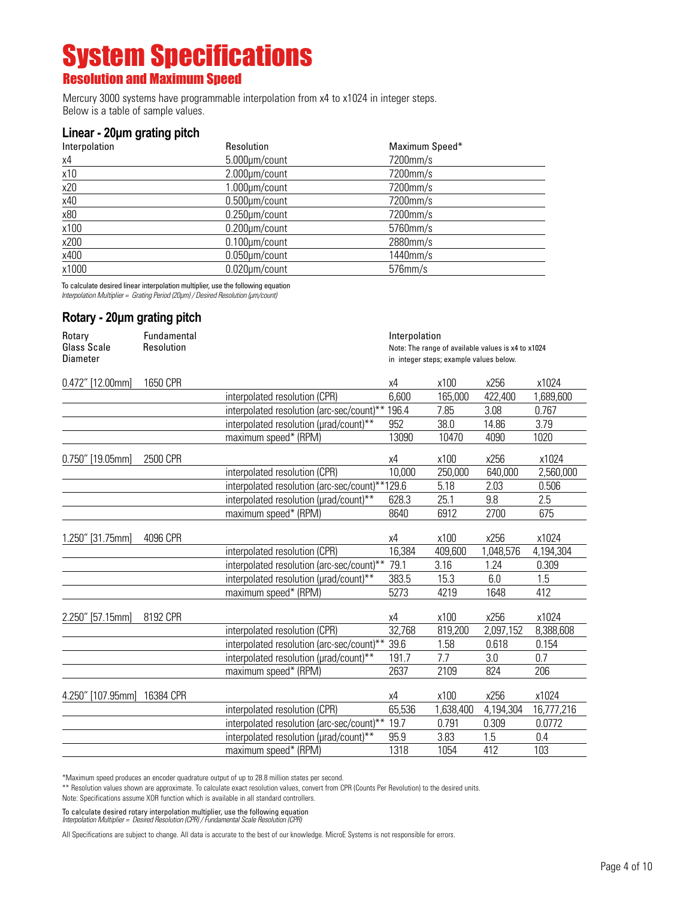## System Specifications Resolution and Maximum Speed

Mercury 3000 systems have programmable interpolation from x4 to x1024 in integer steps. Below is a table of sample values.

#### **Linear - 20μm grating pitch**

| Interpolation | <b>Resolution</b>    | Maximum Speed* |
|---------------|----------------------|----------------|
| χ4            | 5.000µm/count        | 7200mm/s       |
| x10           | 2.000µm/count        | 7200mm/s       |
| x20           | 1.000µm/count        | 7200mm/s       |
| x40           | $0.500 \mu m$ /count | 7200mm/s       |
| x80           | $0.250 \mu m$ /count | 7200mm/s       |
| x100          | $0.200 \mu m$ /count | 5760mm/s       |
| x200          | $0.100 \mu m$ /count | 2880mm/s       |
| x400          | $0.050 \mu m$ /count | 1440mm/s       |
| x1000         | 0.020µm/count        | $576$ mm/s     |

To calculate desired linear interpolation multiplier, use the following equation

Interpolation Multiplier = Grating Period (20µm) / Desired Resolution (µm/count)

#### **Rotary - 20μm grating pitch**

| Rotary            | Fundamental |                                                | Interpolation                                      |           |           |            |
|-------------------|-------------|------------------------------------------------|----------------------------------------------------|-----------|-----------|------------|
| Glass Scale       | Resolution  |                                                | Note: The range of available values is x4 to x1024 |           |           |            |
| <b>Diameter</b>   |             |                                                | in integer steps; example values below.            |           |           |            |
| 0.472" [12.00mm]  | 1650 CPR    |                                                | х4                                                 | x100      | x256      | x1024      |
|                   |             | interpolated resolution (CPR)                  | 6,600                                              | 165,000   | 422,400   | 1,689,600  |
|                   |             | interpolated resolution (arc-sec/count)**      | 196.4                                              | 7.85      | 3.08      | 0.767      |
|                   |             | interpolated resolution (urad/count)**         | 952                                                | 38.0      | 14.86     | 3.79       |
|                   |             | maximum speed* (RPM)                           | 13090                                              | 10470     | 4090      | 1020       |
| 0.750" [19.05mm]  | 2500 CPR    |                                                | χ4                                                 | x100      | x256      | x1024      |
|                   |             | interpolated resolution (CPR)                  | 10,000                                             | 250,000   | 640,000   | 2,560,000  |
|                   |             | interpolated resolution (arc-sec/count)**129.6 |                                                    | 5.18      | 2.03      | 0.506      |
|                   |             | interpolated resolution (µrad/count)**         | 628.3                                              | 25.1      | 9.8       | 2.5        |
|                   |             | maximum speed* (RPM)                           | 8640                                               | 6912      | 2700      | 675        |
| 1.250" [31.75mm]  | 4096 CPR    |                                                | χ4                                                 | x100      | x256      | x1024      |
|                   |             | interpolated resolution (CPR)                  | 16,384                                             | 409,600   | 1,048,576 | 4,194,304  |
|                   |             | interpolated resolution (arc-sec/count)**      | 79.1                                               | 3.16      | 1.24      | 0.309      |
|                   |             | interpolated resolution (urad/count)**         | 383.5                                              | 15.3      | 6.0       | 1.5        |
|                   |             | maximum speed* (RPM)                           | 5273                                               | 4219      | 1648      | 412        |
| 2.250" [57.15mm]  | 8192 CPR    |                                                | χ4                                                 | x100      | x256      | x1024      |
|                   |             | interpolated resolution (CPR)                  | 32,768                                             | 819,200   | 2,097,152 | 8,388,608  |
|                   |             | interpolated resolution (arc-sec/count)**      | 39.6                                               | 1.58      | 0.618     | 0.154      |
|                   |             | interpolated resolution (urad/count)**         | 191.7                                              | 7.7       | 3.0       | 0.7        |
|                   |             | maximum speed* (RPM)                           | 2637                                               | 2109      | 824       | 206        |
| 4.250" [107.95mm] | 16384 CPR   |                                                | χ4                                                 | x100      | x256      | x1024      |
|                   |             | interpolated resolution (CPR)                  | 65,536                                             | 1,638,400 | 4,194,304 | 16,777,216 |
|                   |             | interpolated resolution (arc-sec/count)**      | 19.7                                               | 0.791     | 0.309     | 0.0772     |
|                   |             | interpolated resolution (urad/count)**         | 95.9                                               | 3.83      | 1.5       | 0.4        |
|                   |             | maximum speed* (RPM)                           | 1318                                               | 1054      | 412       | 103        |

\*Maximum speed produces an encoder quadrature output of up to 28.8 million states per second.

\*\* Resolution values shown are approximate. To calculate exact resolution values, convert from CPR (Counts Per Revolution) to the desired units.

Note: Specifications assume XOR function which is available in all standard controllers.

To calculate desired rotary interpolation multiplier, use the following equation<br>Interpolation Multiplier = Desired Resolution (CPR) / Fundamental Scale Resolution (CPR)

All Specifications are subject to change. All data is accurate to the best of our knowledge. MicroE Systems is not responsible for errors.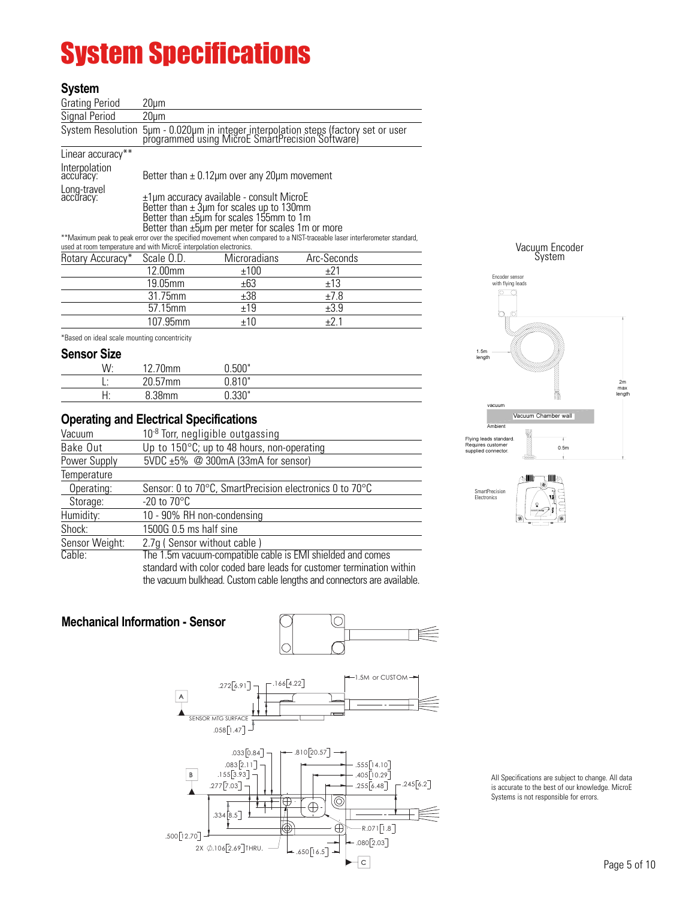# System Specifications

#### **System**

| <b>Grating Period</b>      | $20 \mu m$                                                                                                                                                                                                                                                                                                                                                                                                  |                                                                                                                                         |             |  |  |  |
|----------------------------|-------------------------------------------------------------------------------------------------------------------------------------------------------------------------------------------------------------------------------------------------------------------------------------------------------------------------------------------------------------------------------------------------------------|-----------------------------------------------------------------------------------------------------------------------------------------|-------------|--|--|--|
| Signal Period              | $20 \mu m$                                                                                                                                                                                                                                                                                                                                                                                                  |                                                                                                                                         |             |  |  |  |
|                            |                                                                                                                                                                                                                                                                                                                                                                                                             | System Resolution 5um - 0.020um in integer interpolation steps (factory set or user<br>programmed using MicroE SmartPrecision Software) |             |  |  |  |
| Linear accuracy**          |                                                                                                                                                                                                                                                                                                                                                                                                             |                                                                                                                                         |             |  |  |  |
| Interpolation<br>accuracy: |                                                                                                                                                                                                                                                                                                                                                                                                             | Better than $\pm$ 0.12 $\mu$ m over any 20 $\mu$ m movement                                                                             |             |  |  |  |
| Long-travel<br>accuracy:   | $\pm 1$ µm accuracy available - consult MicroE<br>Better than $\pm 3$ µm for scales up to 130mm<br>Better than ±5µm for scales 155mm to 1m<br>Better than $\pm 5\mu$ m per meter for scales 1 m or more<br>**Maximum peak to peak error over the specified movement when compared to a NIST-traceable laser interferometer standard,<br>used at room temperature and with MicroE interpolation electronics. |                                                                                                                                         |             |  |  |  |
| Rotary Accuracy*           | Scale O.D.                                                                                                                                                                                                                                                                                                                                                                                                  | Microradians                                                                                                                            | Arc-Seconds |  |  |  |
|                            | 12.00mm                                                                                                                                                                                                                                                                                                                                                                                                     | ±100                                                                                                                                    | ±21         |  |  |  |
|                            | 19.05mm                                                                                                                                                                                                                                                                                                                                                                                                     | ±63                                                                                                                                     | ±13         |  |  |  |
|                            | 31.75mm                                                                                                                                                                                                                                                                                                                                                                                                     | ±38                                                                                                                                     | ±7.8        |  |  |  |
|                            | 57.15mm                                                                                                                                                                                                                                                                                                                                                                                                     | ±19                                                                                                                                     | ±3.9        |  |  |  |
|                            | 107.95mm                                                                                                                                                                                                                                                                                                                                                                                                    | ±10                                                                                                                                     | ±2.1        |  |  |  |

\*Based on ideal scale mounting concentricity

#### **Sensor Size**

| -----------<br>۱۸/۰<br>VV. | 12.70mm | 0.500" |  |
|----------------------------|---------|--------|--|
|                            | 20.57mm | 0.810" |  |
| . .<br>.                   | 0.20mm  | 0.330" |  |

#### **Operating and Electrical Specifications**

| Vacuum         | $10-8$ Torr, negligible outgassing                                      |
|----------------|-------------------------------------------------------------------------|
| Bake Out       | Up to $150^{\circ}$ C; up to 48 hours, non-operating                    |
| Power Supply   | 5VDC $\pm 5\%$ @ 300mA (33mA for sensor)                                |
| Temperature    |                                                                         |
| Operating:     | Sensor: 0 to 70°C, SmartPrecision electronics 0 to 70°C                 |
| Storage:       | $-20$ to $70^{\circ}$ C                                                 |
| Humidity:      | 10 - 90% RH non-condensing                                              |
| Shock:         | 1500G 0.5 ms half sine                                                  |
| Sensor Weight: | 2.7g (Sensor without cable)                                             |
| Cable:         | The 1.5m vacuum-compatible cable is EMI shielded and comes              |
|                | standard with color coded bare leads for customer termination within    |
|                | the vacuum bulkhead. Custom cable lengths and connectors are available. |

### **Mechanical Information - Sensor**





> All Specifications are subject to change. All data is accurate to the best of our knowledge. MicroE Systems is not responsible for errors.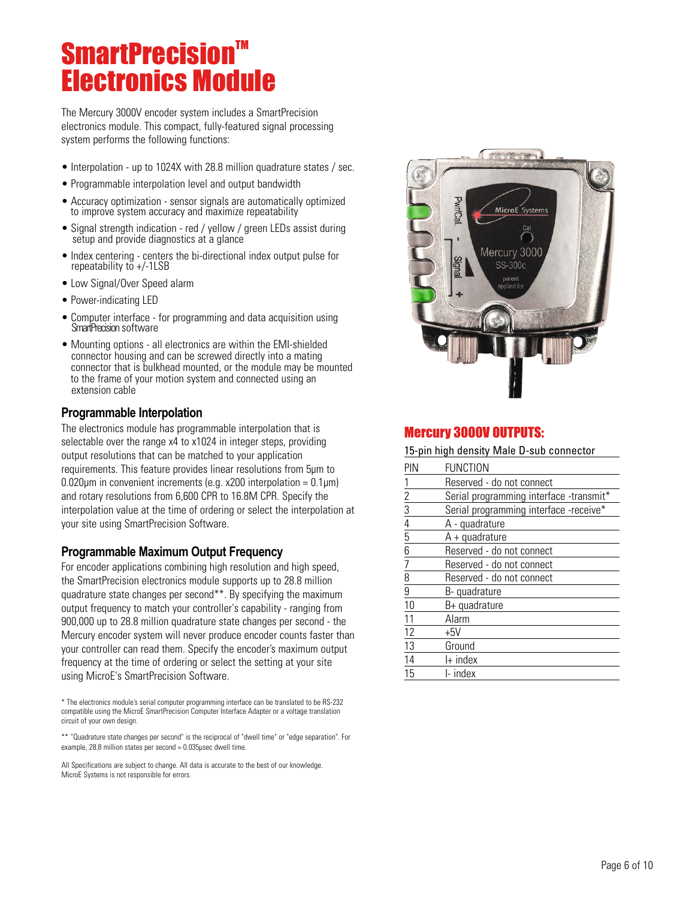# **SmartPrecision™** Electronics Module

The Mercury 3000V encoder system includes a SmartPrecision electronics module. This compact, fully-featured signal processing system performs the following functions:

- Interpolation up to 1024X with 28.8 million quadrature states / sec.
- Programmable interpolation level and output bandwidth
- Accuracy optimization sensor signals are automatically optimized to improve system accuracy and maximize repeatability
- Signal strength indication red / yellow / green LEDs assist during setup and provide diagnostics at a glance
- Index centering centers the bi-directional index output pulse for repeatability to  $+/-1LSB$
- Low Signal/Over Speed alarm
- Power-indicating LED
- Computer interface for programming and data acquisition using SmartPrecision software
- Mounting options all electronics are within the EMI-shielded connector housing and can be screwed directly into a mating connector that is bulkhead mounted, or the module may be mounted to the frame of your motion system and connected using an extension cable

#### **Programmable Interpolation**

The electronics module has programmable interpolation that is selectable over the range x4 to x1024 in integer steps, providing output resolutions that can be matched to your application requirements. This feature provides linear resolutions from 5µm to 0.020 $\mu$ m in convenient increments (e.g. x200 interpolation = 0.1 $\mu$ m) and rotary resolutions from 6,600 CPR to 16.8M CPR. Specify the interpolation value at the time of ordering or select the interpolation at your site using SmartPrecision Software.

#### **Programmable Maximum Output Frequency**

For encoder applications combining high resolution and high speed, the SmartPrecision electronics module supports up to 28.8 million quadrature state changes per second\*\*. By specifying the maximum output frequency to match your controller's capability - ranging from 900,000 up to 28.8 million quadrature state changes per second - the Mercury encoder system will never produce encoder counts faster than your controller can read them. Specify the encoder's maximum output frequency at the time of ordering or select the setting at your site using MicroE's SmartPrecision Software.

\* The electronics module's serial computer programming interface can be translated to be RS-232 compatible using the MicroE SmartPrecision Computer Interface Adapter or a voltage translation circuit of your own design.

\*\* "Quadrature state changes per second" is the reciprocal of "dwell time" or "edge separation". For example, 28.8 million states per second = 0.035µsec dwell time.

All Specifications are subject to change. All data is accurate to the best of our knowledge. MicroE Systems is not responsible for errors.



## Mercury 3000V OUTPUTS:

15-pin high density Male D-sub connector

| PIN                                                                                 | <b>FUNCTION</b>                         |
|-------------------------------------------------------------------------------------|-----------------------------------------|
|                                                                                     | Reserved - do not connect               |
| $\frac{1}{2}$ $\frac{2}{3}$ $\frac{3}{4}$ $\frac{4}{5}$ $\frac{6}{6}$ $\frac{7}{7}$ | Serial programming interface -transmit* |
|                                                                                     | Serial programming interface -receive*  |
|                                                                                     | A - quadrature                          |
|                                                                                     | $A + quadrature$                        |
|                                                                                     | Reserved - do not connect               |
|                                                                                     | Reserved - do not connect               |
| $rac{1}{9}$                                                                         | Reserved - do not connect               |
|                                                                                     | B-quadrature                            |
| 10                                                                                  | B+ quadrature                           |
| 11                                                                                  | Alarm                                   |
| 12                                                                                  | +5V                                     |
| 13                                                                                  | Ground                                  |
| 14                                                                                  | $H$ index                               |
| 15                                                                                  | I- index                                |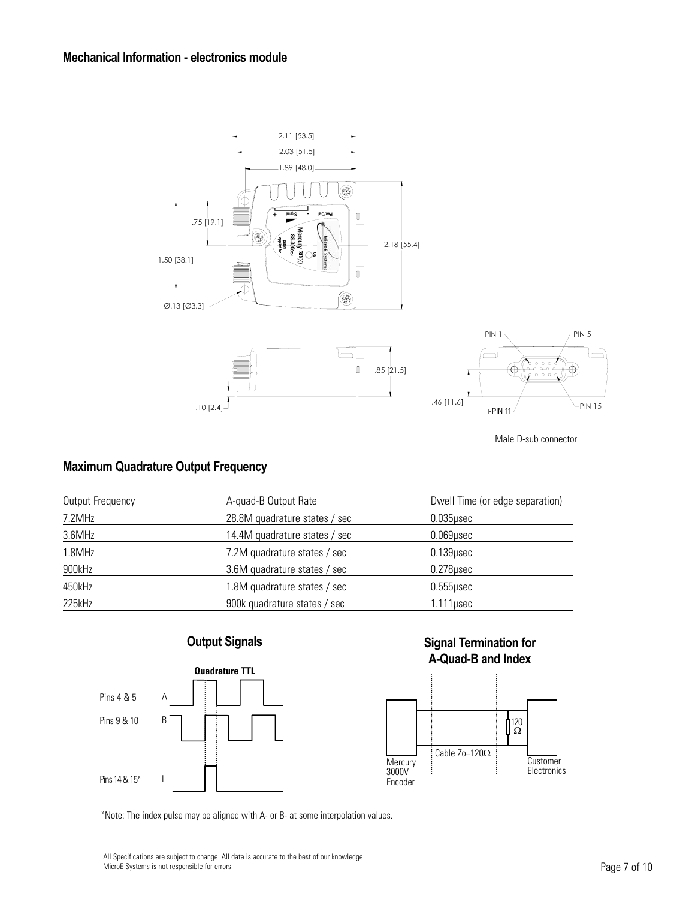

Male D-sub connector

### **Maximum Quadrature Output Frequency**

| Output Frequency | A-quad-B Output Rate          | Dwell Time (or edge separation) |
|------------------|-------------------------------|---------------------------------|
| 7.2MHz           | 28.8M quadrature states / sec | $0.035$ µsec                    |
| 3.6MHz           | 14.4M quadrature states / sec | $0.069$ usec                    |
| 1.8MHz           | 7.2M quadrature states / sec  | $0.139$ usec                    |
| 900kHz           | 3.6M quadrature states / sec  | $0.278$ usec                    |
| 450kHz           | 1.8M quadrature states / sec  | $0.555$ usec                    |
| 225kHz           | 900k quadrature states / sec  | $1.111$ µsec                    |

## **Output Signals**



### **Signal Termination for A-Quad-B and Index**



\*Note: The index pulse may be aligned with A- or B- at some interpolation values.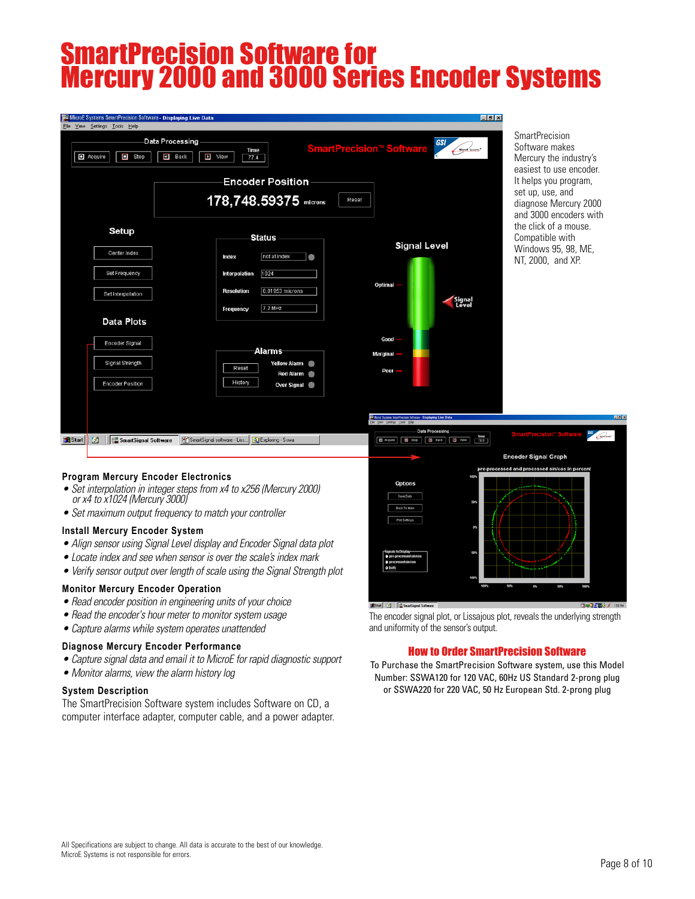# SmartPrecision Software for Mercury 2000 and 3000 Series Encoder Systems

| MicroE Systems SmartPrecision Software - Displaying Live Data |                                                                                                     |                                              |                                                                                             | FF                                 |
|---------------------------------------------------------------|-----------------------------------------------------------------------------------------------------|----------------------------------------------|---------------------------------------------------------------------------------------------|------------------------------------|
| File View Settings Tools Help                                 |                                                                                                     |                                              |                                                                                             |                                    |
| $\blacksquare$ Acquire<br>$\Box$ Stop                         | Data Processing<br>$\Box$ Back<br>$\blacksquare$ View                                               | Time<br>77.4                                 | <b>SmartPrecision<sup>™</sup> Software</b>                                                  | GSI<br>MicroE Systems <sup>®</sup> |
|                                                               |                                                                                                     | <b>Encoder Position</b>                      |                                                                                             |                                    |
|                                                               |                                                                                                     | 178,748.59375 microns                        | Reset                                                                                       |                                    |
| Setup                                                         |                                                                                                     | <b>Status</b>                                | <b>Signal Level</b>                                                                         |                                    |
| Center Index                                                  | Index                                                                                               | not at index<br>●                            |                                                                                             |                                    |
| Set Frequency                                                 | Interpolation                                                                                       | 1024                                         |                                                                                             |                                    |
| Set Interpolation                                             | <b>Resolution</b>                                                                                   | 0.01953 microns                              | Optimal-                                                                                    | Signal<br>Level                    |
| <b>Data Plots</b>                                             | Frequency                                                                                           | 7.2 MHz                                      |                                                                                             |                                    |
| Encoder Signal                                                |                                                                                                     |                                              | Good                                                                                        |                                    |
|                                                               |                                                                                                     | Alarms                                       | Marginal -                                                                                  |                                    |
| Signal Strength                                               | Reset                                                                                               | <b>Yellow Alarm</b><br>œ<br><b>Red Alarm</b> | $Poor =$                                                                                    |                                    |
| <b>Encoder Position</b>                                       | History                                                                                             | <b>Over Signal</b>                           |                                                                                             |                                    |
|                                                               |                                                                                                     |                                              |                                                                                             |                                    |
|                                                               |                                                                                                     |                                              | Word System SmartPrecision Software - Displaying Live Data<br>Elle View Settings Tools Help |                                    |
|                                                               | <b>SA Start E. C.A. If FILE SmartSignal Software</b> SQ SmartSignal coffware Like GLE voloning Sewa |                                              | <b>ER</b> Armina <b>ER Store ER Barr ER May 1</b>                                           | <b>Data Processing</b><br>Time     |

**SmartPrecision** Software makes Mercury the industry's easiest to use encoder. It helps you program, set up, use, and diagnose Mercury 2000 and 3000 encoders with the click of a mouse. Compatible with Windows 95, 98, ME, NT, 2000, and XP.

#### **Program Mercury Encoder Electronics**

- Set interpolation in integer steps from x4 to x256 (Mercury 2000) or x4 to x1024 (Mercury 3000)
- Set maximum output frequency to match your controller

#### **Install Mercury Encoder System**

- Align sensor using Signal Level display and Encoder Signal data plot
- Locate index and see when sensor is over the scale's index mark
- Verify sensor output over length of scale using the Signal Strength plot

#### **Monitor Mercury Encoder Operation**

- Read encoder position in engineering units of your choice
- Read the encoder's hour meter to monitor system usage
- Capture alarms while system operates unattended

#### **Diagnose Mercury Encoder Performance**

- Capture signal data and email it to MicroE for rapid diagnostic support
- Monitor alarms, view the alarm history log

#### **System Description**

The SmartPrecision Software system includes Software on CD, a computer interface adapter, computer cable, and a power adapter.



The encoder signal plot, or Lissajous plot, reveals the underlying strength and uniformity of the sensor's output.

#### How to Order SmartPrecision Software

To Purchase the SmartPrecision Software system, use this Model Number: SSWA120 for 120 VAC, 60Hz US Standard 2-prong plug or SSWA220 for 220 VAC, 50 Hz European Std. 2-prong plug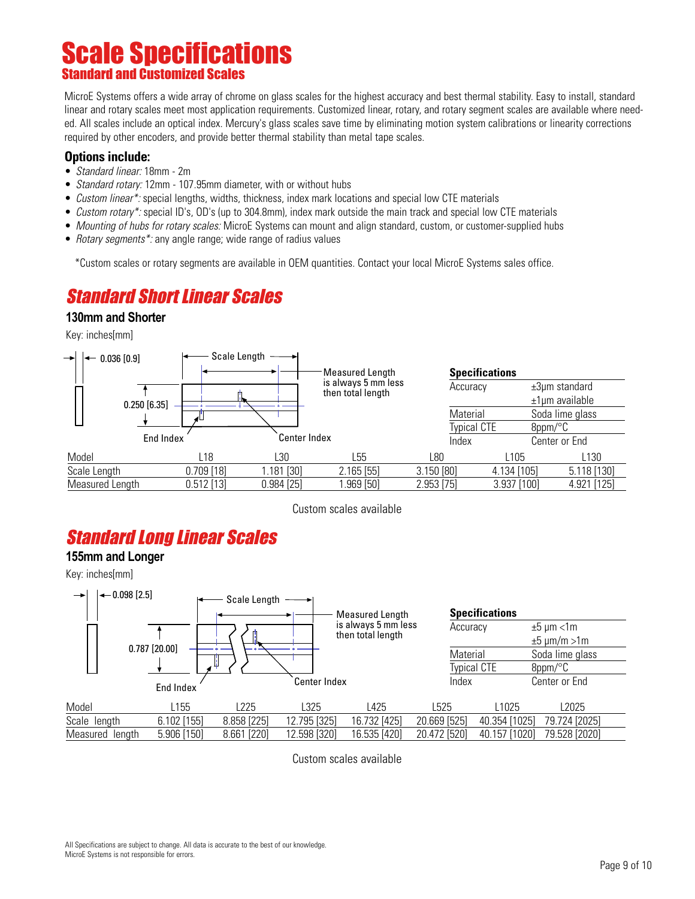## Scale Specifications **Standard and Customized Sca**

MicroE Systems offers a wide array of chrome on glass scales for the highest accuracy and best thermal stability. Easy to install, standard linear and rotary scales meet most application requirements. Customized linear, rotary, and rotary segment scales are available where needed. All scales include an optical index. Mercury's glass scales save time by eliminating motion system calibrations or linearity corrections required by other encoders, and provide better thermal stability than metal tape scales.

#### **Options include:**

- *Standard linear:* 18mm 2m
- Standard rotary: 12mm 107.95mm diameter, with or without hubs
- Custom linear\*: special lengths, widths, thickness, index mark locations and special low CTE materials
- Custom rotary\*: special ID's, OD's (up to 304.8mm), index mark outside the main track and special low CTE materials
- Mounting of hubs for rotary scales: MicroE Systems can mount and align standard, custom, or customer-supplied hubs
- Rotary segments\*: any angle range; wide range of radius values

\*Custom scales or rotary segments are available in OEM quantities. Contact your local MicroE Systems sales office.

# Standard Short Linear Scales

#### **130mm and Shorter**

Key: inches[mm]



Custom scales available

## Standard Long Linear Scales

#### **155mm and Longer**

Key: inches[mm]



Custom scales available